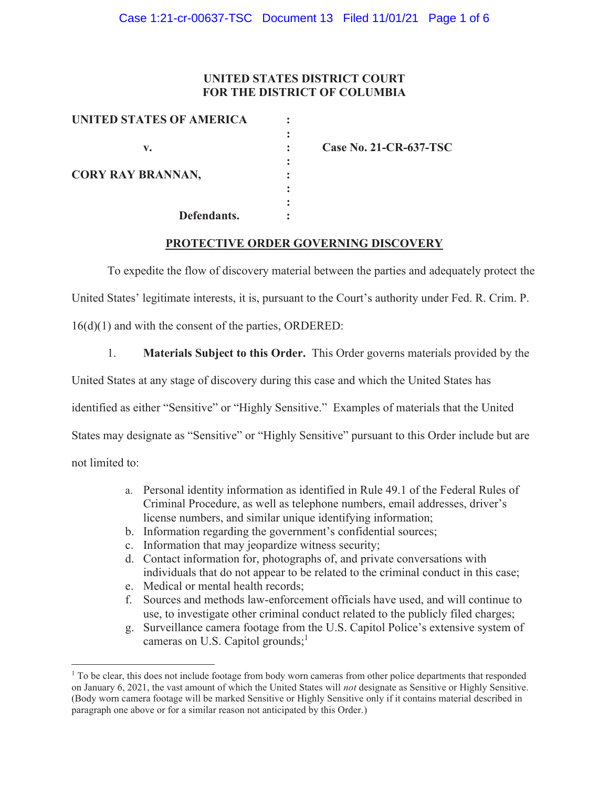# **UNITED STATES DISTRICT COURT FOR THE DISTRICT OF COLUMBIA**

| <b>UNITED STATES OF AMERICA</b> |  |
|---------------------------------|--|
|                                 |  |
| v.                              |  |
| <b>CORY RAY BRANNAN,</b>        |  |
|                                 |  |
|                                 |  |
|                                 |  |
| Defendants.                     |  |

**v. : Case No. 21-CR-637-TSC** 

## **PROTECTIVE ORDER GOVERNING DISCOVERY**

To expedite the flow of discovery material between the parties and adequately protect the

United States' legitimate interests, it is, pursuant to the Court's authority under Fed. R. Crim. P.

16(d)(1) and with the consent of the parties, ORDERED:

1. **Materials Subject to this Order.** This Order governs materials provided by the

United States at any stage of discovery during this case and which the United States has

identified as either "Sensitive" or "Highly Sensitive." Examples of materials that the United

States may designate as "Sensitive" or "Highly Sensitive" pursuant to this Order include but are

not limited to:

- a. Personal identity information as identified in Rule 49.1 of the Federal Rules of Criminal Procedure, as well as telephone numbers, email addresses, driver's license numbers, and similar unique identifying information;
- b. Information regarding the government's confidential sources;
- c. Information that may jeopardize witness security;
- d. Contact information for, photographs of, and private conversations with individuals that do not appear to be related to the criminal conduct in this case;
- e. Medical or mental health records;
- f. Sources and methods law-enforcement officials have used, and will continue to use, to investigate other criminal conduct related to the publicly filed charges;
- g. Surveillance camera footage from the U.S. Capitol Police's extensive system of cameras on U.S. Capitol grounds; $<sup>1</sup>$ </sup>

<sup>&</sup>lt;sup>1</sup> To be clear, this does not include footage from body worn cameras from other police departments that responded on January 6, 2021, the vast amount of which the United States will *not* designate as Sensitive or Highly Sensitive. (Body worn camera footage will be marked Sensitive or Highly Sensitive only if it contains material described in paragraph one above or for a similar reason not anticipated by this Order.)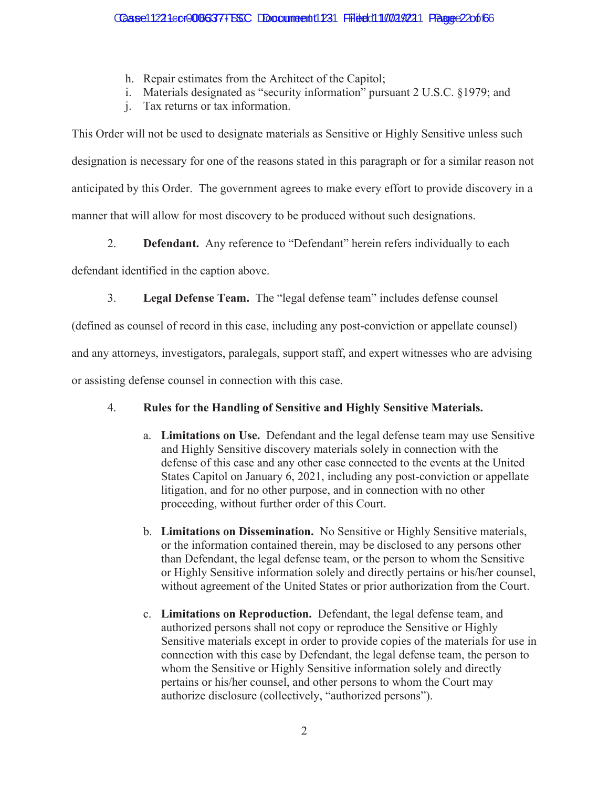- h. Repair estimates from the Architect of the Capitol;
- i. Materials designated as "security information" pursuant 2 U.S.C. §1979; and
- j. Tax returns or tax information.

This Order will not be used to designate materials as Sensitive or Highly Sensitive unless such designation is necessary for one of the reasons stated in this paragraph or for a similar reason not anticipated by this Order. The government agrees to make every effort to provide discovery in a manner that will allow for most discovery to be produced without such designations.

2. **Defendant.** Any reference to "Defendant" herein refers individually to each

defendant identified in the caption above.

3. **Legal Defense Team.** The "legal defense team" includes defense counsel

(defined as counsel of record in this case, including any post-conviction or appellate counsel)

and any attorneys, investigators, paralegals, support staff, and expert witnesses who are advising

or assisting defense counsel in connection with this case.

## 4. **Rules for the Handling of Sensitive and Highly Sensitive Materials.**

- a. **Limitations on Use.** Defendant and the legal defense team may use Sensitive and Highly Sensitive discovery materials solely in connection with the defense of this case and any other case connected to the events at the United States Capitol on January 6, 2021, including any post-conviction or appellate litigation, and for no other purpose, and in connection with no other proceeding, without further order of this Court.
- b. **Limitations on Dissemination.** No Sensitive or Highly Sensitive materials, or the information contained therein, may be disclosed to any persons other than Defendant, the legal defense team, or the person to whom the Sensitive or Highly Sensitive information solely and directly pertains or his/her counsel, without agreement of the United States or prior authorization from the Court.
- c. **Limitations on Reproduction.** Defendant, the legal defense team, and authorized persons shall not copy or reproduce the Sensitive or Highly Sensitive materials except in order to provide copies of the materials for use in connection with this case by Defendant, the legal defense team, the person to whom the Sensitive or Highly Sensitive information solely and directly pertains or his/her counsel, and other persons to whom the Court may authorize disclosure (collectively, "authorized persons").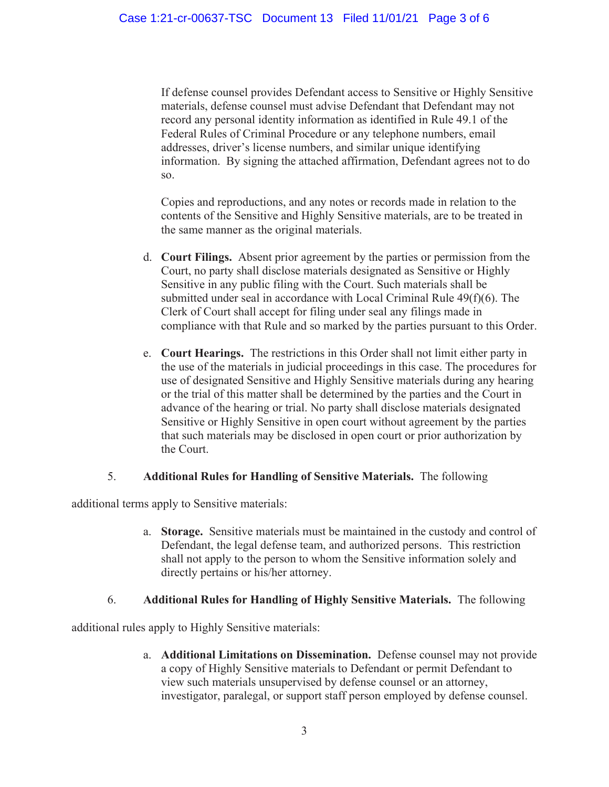If defense counsel provides Defendant access to Sensitive or Highly Sensitive materials, defense counsel must advise Defendant that Defendant may not record any personal identity information as identified in Rule 49.1 of the Federal Rules of Criminal Procedure or any telephone numbers, email addresses, driver's license numbers, and similar unique identifying information. By signing the attached affirmation, Defendant agrees not to do so.

Copies and reproductions, and any notes or records made in relation to the contents of the Sensitive and Highly Sensitive materials, are to be treated in the same manner as the original materials.

- d. **Court Filings.** Absent prior agreement by the parties or permission from the Court, no party shall disclose materials designated as Sensitive or Highly Sensitive in any public filing with the Court. Such materials shall be submitted under seal in accordance with Local Criminal Rule 49(f)(6). The Clerk of Court shall accept for filing under seal any filings made in compliance with that Rule and so marked by the parties pursuant to this Order.
- e. **Court Hearings.** The restrictions in this Order shall not limit either party in the use of the materials in judicial proceedings in this case. The procedures for use of designated Sensitive and Highly Sensitive materials during any hearing or the trial of this matter shall be determined by the parties and the Court in advance of the hearing or trial. No party shall disclose materials designated Sensitive or Highly Sensitive in open court without agreement by the parties that such materials may be disclosed in open court or prior authorization by the Court.

## 5. **Additional Rules for Handling of Sensitive Materials.** The following

additional terms apply to Sensitive materials:

a. **Storage.** Sensitive materials must be maintained in the custody and control of Defendant, the legal defense team, and authorized persons. This restriction shall not apply to the person to whom the Sensitive information solely and directly pertains or his/her attorney.

## 6. **Additional Rules for Handling of Highly Sensitive Materials.** The following

additional rules apply to Highly Sensitive materials:

a. **Additional Limitations on Dissemination.** Defense counsel may not provide a copy of Highly Sensitive materials to Defendant or permit Defendant to view such materials unsupervised by defense counsel or an attorney, investigator, paralegal, or support staff person employed by defense counsel.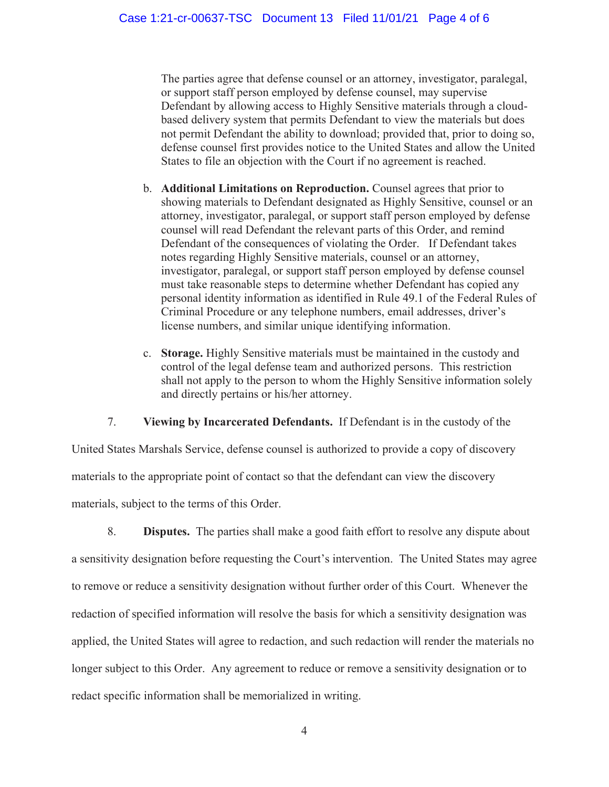The parties agree that defense counsel or an attorney, investigator, paralegal, or support staff person employed by defense counsel, may supervise Defendant by allowing access to Highly Sensitive materials through a cloudbased delivery system that permits Defendant to view the materials but does not permit Defendant the ability to download; provided that, prior to doing so, defense counsel first provides notice to the United States and allow the United States to file an objection with the Court if no agreement is reached.

- b. **Additional Limitations on Reproduction.** Counsel agrees that prior to showing materials to Defendant designated as Highly Sensitive, counsel or an attorney, investigator, paralegal, or support staff person employed by defense counsel will read Defendant the relevant parts of this Order, and remind Defendant of the consequences of violating the Order. If Defendant takes notes regarding Highly Sensitive materials, counsel or an attorney, investigator, paralegal, or support staff person employed by defense counsel must take reasonable steps to determine whether Defendant has copied any personal identity information as identified in Rule 49.1 of the Federal Rules of Criminal Procedure or any telephone numbers, email addresses, driver's license numbers, and similar unique identifying information.
- c. **Storage.** Highly Sensitive materials must be maintained in the custody and control of the legal defense team and authorized persons. This restriction shall not apply to the person to whom the Highly Sensitive information solely and directly pertains or his/her attorney.

7. **Viewing by Incarcerated Defendants.** If Defendant is in the custody of the

United States Marshals Service, defense counsel is authorized to provide a copy of discovery materials to the appropriate point of contact so that the defendant can view the discovery materials, subject to the terms of this Order.

8. **Disputes.** The parties shall make a good faith effort to resolve any dispute about a sensitivity designation before requesting the Court's intervention. The United States may agree to remove or reduce a sensitivity designation without further order of this Court. Whenever the redaction of specified information will resolve the basis for which a sensitivity designation was applied, the United States will agree to redaction, and such redaction will render the materials no longer subject to this Order. Any agreement to reduce or remove a sensitivity designation or to redact specific information shall be memorialized in writing.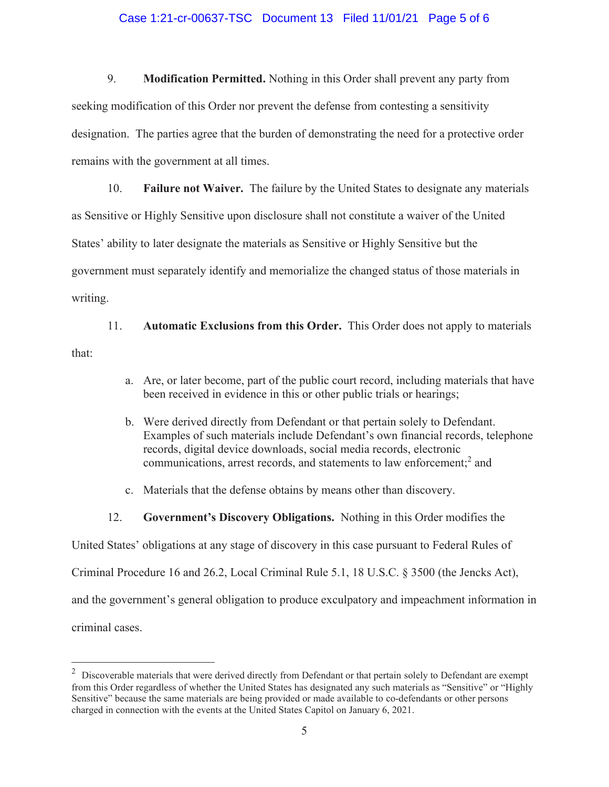#### Case 1:21-cr-00637-TSC Document 13 Filed 11/01/21 Page 5 of 6

9. **Modification Permitted.** Nothing in this Order shall prevent any party from seeking modification of this Order nor prevent the defense from contesting a sensitivity designation. The parties agree that the burden of demonstrating the need for a protective order remains with the government at all times.

10. **Failure not Waiver.** The failure by the United States to designate any materials as Sensitive or Highly Sensitive upon disclosure shall not constitute a waiver of the United States' ability to later designate the materials as Sensitive or Highly Sensitive but the government must separately identify and memorialize the changed status of those materials in writing.

11. **Automatic Exclusions from this Order.** This Order does not apply to materials that:

- a. Are, or later become, part of the public court record, including materials that have been received in evidence in this or other public trials or hearings;
- b. Were derived directly from Defendant or that pertain solely to Defendant. Examples of such materials include Defendant's own financial records, telephone records, digital device downloads, social media records, electronic communications, arrest records, and statements to law enforcement;<sup>2</sup> and
- c. Materials that the defense obtains by means other than discovery.
- 12. **Government's Discovery Obligations.** Nothing in this Order modifies the

United States' obligations at any stage of discovery in this case pursuant to Federal Rules of

Criminal Procedure 16 and 26.2, Local Criminal Rule 5.1, 18 U.S.C. § 3500 (the Jencks Act),

and the government's general obligation to produce exculpatory and impeachment information in

criminal cases.

 $2$  Discoverable materials that were derived directly from Defendant or that pertain solely to Defendant are exempt from this Order regardless of whether the United States has designated any such materials as "Sensitive" or "Highly Sensitive" because the same materials are being provided or made available to co-defendants or other persons charged in connection with the events at the United States Capitol on January 6, 2021.